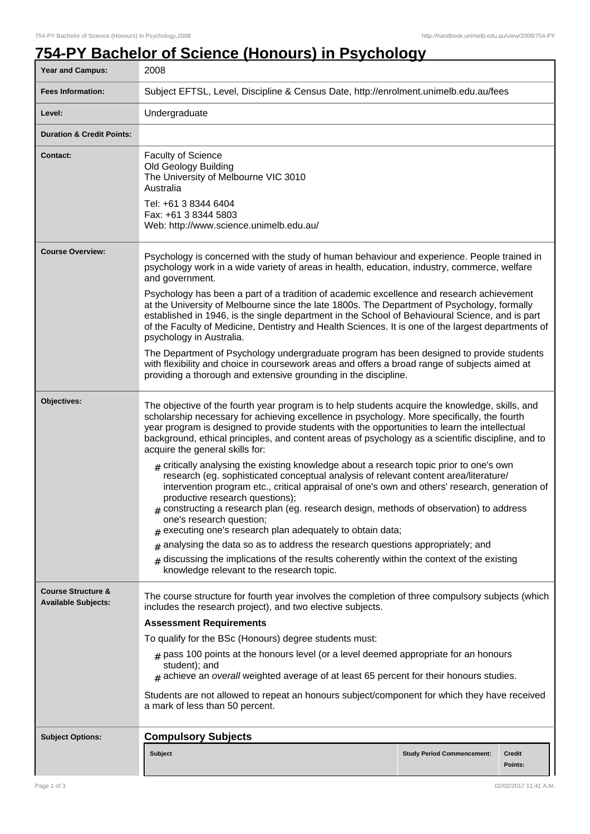## **754-PY Bachelor of Science (Honours) in Psychology**

| <b>Year and Campus:</b>                                     | 2008                                                                                                                                                                                                                                                                                                                                                                                                                                                                                                                       |  |
|-------------------------------------------------------------|----------------------------------------------------------------------------------------------------------------------------------------------------------------------------------------------------------------------------------------------------------------------------------------------------------------------------------------------------------------------------------------------------------------------------------------------------------------------------------------------------------------------------|--|
| <b>Fees Information:</b>                                    | Subject EFTSL, Level, Discipline & Census Date, http://enrolment.unimelb.edu.au/fees                                                                                                                                                                                                                                                                                                                                                                                                                                       |  |
| Level:                                                      | Undergraduate                                                                                                                                                                                                                                                                                                                                                                                                                                                                                                              |  |
| <b>Duration &amp; Credit Points:</b>                        |                                                                                                                                                                                                                                                                                                                                                                                                                                                                                                                            |  |
| <b>Contact:</b>                                             | <b>Faculty of Science</b><br>Old Geology Building<br>The University of Melbourne VIC 3010<br>Australia<br>Tel: +61 3 8344 6404<br>Fax: +61 3 8344 5803<br>Web: http://www.science.unimelb.edu.au/                                                                                                                                                                                                                                                                                                                          |  |
| <b>Course Overview:</b>                                     | Psychology is concerned with the study of human behaviour and experience. People trained in<br>psychology work in a wide variety of areas in health, education, industry, commerce, welfare<br>and government.                                                                                                                                                                                                                                                                                                             |  |
|                                                             | Psychology has been a part of a tradition of academic excellence and research achievement<br>at the University of Melbourne since the late 1800s. The Department of Psychology, formally<br>established in 1946, is the single department in the School of Behavioural Science, and is part<br>of the Faculty of Medicine, Dentistry and Health Sciences. It is one of the largest departments of<br>psychology in Australia.                                                                                              |  |
|                                                             | The Department of Psychology undergraduate program has been designed to provide students<br>with flexibility and choice in coursework areas and offers a broad range of subjects aimed at<br>providing a thorough and extensive grounding in the discipline.                                                                                                                                                                                                                                                               |  |
| Objectives:                                                 | The objective of the fourth year program is to help students acquire the knowledge, skills, and<br>scholarship necessary for achieving excellence in psychology. More specifically, the fourth<br>year program is designed to provide students with the opportunities to learn the intellectual<br>background, ethical principles, and content areas of psychology as a scientific discipline, and to<br>acquire the general skills for:                                                                                   |  |
|                                                             | $_{\text{\#}}$ critically analysing the existing knowledge about a research topic prior to one's own<br>research (eg. sophisticated conceptual analysis of relevant content area/literature/<br>intervention program etc., critical appraisal of one's own and others' research, generation of<br>productive research questions);<br>$*$ constructing a research plan (eg. research design, methods of observation) to address<br>one's research question;<br>$#$ executing one's research plan adequately to obtain data; |  |
|                                                             | analysing the data so as to address the research questions appropriately; and<br>#                                                                                                                                                                                                                                                                                                                                                                                                                                         |  |
|                                                             | discussing the implications of the results coherently within the context of the existing<br>knowledge relevant to the research topic.                                                                                                                                                                                                                                                                                                                                                                                      |  |
| <b>Course Structure &amp;</b><br><b>Available Subjects:</b> | The course structure for fourth year involves the completion of three compulsory subjects (which<br>includes the research project), and two elective subjects.                                                                                                                                                                                                                                                                                                                                                             |  |
|                                                             | <b>Assessment Requirements</b>                                                                                                                                                                                                                                                                                                                                                                                                                                                                                             |  |
|                                                             | To qualify for the BSc (Honours) degree students must:                                                                                                                                                                                                                                                                                                                                                                                                                                                                     |  |
|                                                             | $_{\#}$ pass 100 points at the honours level (or a level deemed appropriate for an honours<br>student); and<br>$*$ achieve an overall weighted average of at least 65 percent for their honours studies.                                                                                                                                                                                                                                                                                                                   |  |
|                                                             | Students are not allowed to repeat an honours subject/component for which they have received<br>a mark of less than 50 percent.                                                                                                                                                                                                                                                                                                                                                                                            |  |
| <b>Subject Options:</b>                                     | <b>Compulsory Subjects</b>                                                                                                                                                                                                                                                                                                                                                                                                                                                                                                 |  |
|                                                             | <b>Subject</b><br><b>Study Period Commencement:</b><br><b>Credit</b><br>Points:                                                                                                                                                                                                                                                                                                                                                                                                                                            |  |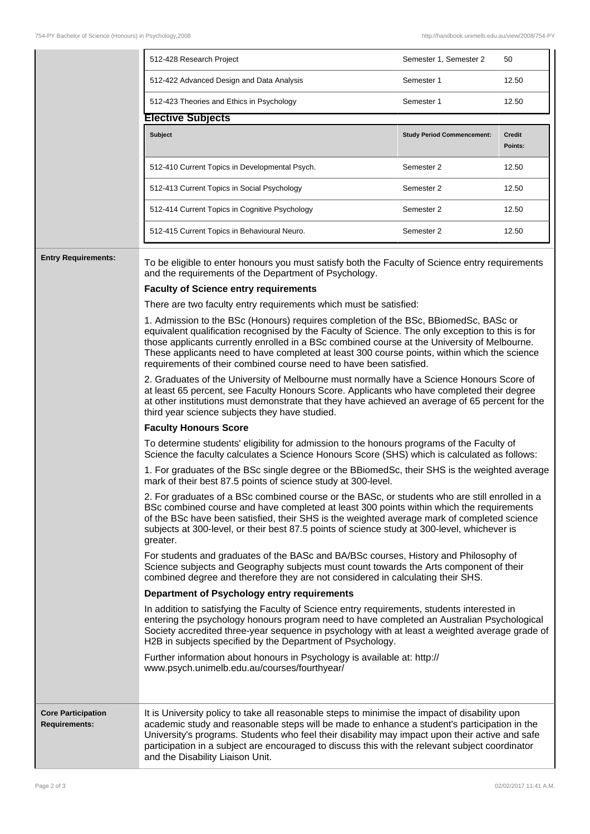|                                                   | 512-428 Research Project                                                                                                                                                                                                                                                                                                                                                                                                                                                                                                                                                                                                                                                                                                                                                                                                                                                                                                                                                                                                                                                                                                                                                                                                                                                                                                                                                                                                                                                                                                                                                                                                                                                                                                                                                                                                                                                                                                                                                                                                                                                                                                                                                                                                                                                                                                                                                                                                                                                                                                                                                                                                                                                                                              | Semester 1, Semester 2            | 50                       |
|---------------------------------------------------|-----------------------------------------------------------------------------------------------------------------------------------------------------------------------------------------------------------------------------------------------------------------------------------------------------------------------------------------------------------------------------------------------------------------------------------------------------------------------------------------------------------------------------------------------------------------------------------------------------------------------------------------------------------------------------------------------------------------------------------------------------------------------------------------------------------------------------------------------------------------------------------------------------------------------------------------------------------------------------------------------------------------------------------------------------------------------------------------------------------------------------------------------------------------------------------------------------------------------------------------------------------------------------------------------------------------------------------------------------------------------------------------------------------------------------------------------------------------------------------------------------------------------------------------------------------------------------------------------------------------------------------------------------------------------------------------------------------------------------------------------------------------------------------------------------------------------------------------------------------------------------------------------------------------------------------------------------------------------------------------------------------------------------------------------------------------------------------------------------------------------------------------------------------------------------------------------------------------------------------------------------------------------------------------------------------------------------------------------------------------------------------------------------------------------------------------------------------------------------------------------------------------------------------------------------------------------------------------------------------------------------------------------------------------------------------------------------------------------|-----------------------------------|--------------------------|
|                                                   | 512-422 Advanced Design and Data Analysis                                                                                                                                                                                                                                                                                                                                                                                                                                                                                                                                                                                                                                                                                                                                                                                                                                                                                                                                                                                                                                                                                                                                                                                                                                                                                                                                                                                                                                                                                                                                                                                                                                                                                                                                                                                                                                                                                                                                                                                                                                                                                                                                                                                                                                                                                                                                                                                                                                                                                                                                                                                                                                                                             | Semester 1                        | 12.50                    |
|                                                   | 512-423 Theories and Ethics in Psychology                                                                                                                                                                                                                                                                                                                                                                                                                                                                                                                                                                                                                                                                                                                                                                                                                                                                                                                                                                                                                                                                                                                                                                                                                                                                                                                                                                                                                                                                                                                                                                                                                                                                                                                                                                                                                                                                                                                                                                                                                                                                                                                                                                                                                                                                                                                                                                                                                                                                                                                                                                                                                                                                             | Semester 1                        | 12.50                    |
|                                                   | <b>Elective Subjects</b>                                                                                                                                                                                                                                                                                                                                                                                                                                                                                                                                                                                                                                                                                                                                                                                                                                                                                                                                                                                                                                                                                                                                                                                                                                                                                                                                                                                                                                                                                                                                                                                                                                                                                                                                                                                                                                                                                                                                                                                                                                                                                                                                                                                                                                                                                                                                                                                                                                                                                                                                                                                                                                                                                              |                                   |                          |
|                                                   | Subject                                                                                                                                                                                                                                                                                                                                                                                                                                                                                                                                                                                                                                                                                                                                                                                                                                                                                                                                                                                                                                                                                                                                                                                                                                                                                                                                                                                                                                                                                                                                                                                                                                                                                                                                                                                                                                                                                                                                                                                                                                                                                                                                                                                                                                                                                                                                                                                                                                                                                                                                                                                                                                                                                                               | <b>Study Period Commencement:</b> | <b>Credit</b><br>Points: |
|                                                   | 512-410 Current Topics in Developmental Psych.                                                                                                                                                                                                                                                                                                                                                                                                                                                                                                                                                                                                                                                                                                                                                                                                                                                                                                                                                                                                                                                                                                                                                                                                                                                                                                                                                                                                                                                                                                                                                                                                                                                                                                                                                                                                                                                                                                                                                                                                                                                                                                                                                                                                                                                                                                                                                                                                                                                                                                                                                                                                                                                                        | Semester 2                        | 12.50                    |
|                                                   | 512-413 Current Topics in Social Psychology                                                                                                                                                                                                                                                                                                                                                                                                                                                                                                                                                                                                                                                                                                                                                                                                                                                                                                                                                                                                                                                                                                                                                                                                                                                                                                                                                                                                                                                                                                                                                                                                                                                                                                                                                                                                                                                                                                                                                                                                                                                                                                                                                                                                                                                                                                                                                                                                                                                                                                                                                                                                                                                                           | Semester 2                        | 12.50                    |
|                                                   | 512-414 Current Topics in Cognitive Psychology                                                                                                                                                                                                                                                                                                                                                                                                                                                                                                                                                                                                                                                                                                                                                                                                                                                                                                                                                                                                                                                                                                                                                                                                                                                                                                                                                                                                                                                                                                                                                                                                                                                                                                                                                                                                                                                                                                                                                                                                                                                                                                                                                                                                                                                                                                                                                                                                                                                                                                                                                                                                                                                                        | Semester 2                        | 12.50                    |
|                                                   | 512-415 Current Topics in Behavioural Neuro.                                                                                                                                                                                                                                                                                                                                                                                                                                                                                                                                                                                                                                                                                                                                                                                                                                                                                                                                                                                                                                                                                                                                                                                                                                                                                                                                                                                                                                                                                                                                                                                                                                                                                                                                                                                                                                                                                                                                                                                                                                                                                                                                                                                                                                                                                                                                                                                                                                                                                                                                                                                                                                                                          | Semester 2                        | 12.50                    |
|                                                   | To be eligible to enter honours you must satisfy both the Faculty of Science entry requirements<br>and the requirements of the Department of Psychology.<br><b>Faculty of Science entry requirements</b><br>There are two faculty entry requirements which must be satisfied:<br>1. Admission to the BSc (Honours) requires completion of the BSc, BBiomedSc, BASc or<br>equivalent qualification recognised by the Faculty of Science. The only exception to this is for<br>those applicants currently enrolled in a BSc combined course at the University of Melbourne.<br>These applicants need to have completed at least 300 course points, within which the science<br>requirements of their combined course need to have been satisfied.<br>2. Graduates of the University of Melbourne must normally have a Science Honours Score of<br>at least 65 percent, see Faculty Honours Score. Applicants who have completed their degree<br>at other institutions must demonstrate that they have achieved an average of 65 percent for the<br>third year science subjects they have studied.<br><b>Faculty Honours Score</b><br>To determine students' eligibility for admission to the honours programs of the Faculty of<br>Science the faculty calculates a Science Honours Score (SHS) which is calculated as follows:<br>1. For graduates of the BSc single degree or the BBiomedSc, their SHS is the weighted average<br>mark of their best 87.5 points of science study at 300-level.<br>2. For graduates of a BSc combined course or the BASc, or students who are still enrolled in a<br>BSc combined course and have completed at least 300 points within which the requirements<br>of the BSc have been satisfied, their SHS is the weighted average mark of completed science<br>subjects at 300-level, or their best 87.5 points of science study at 300-level, whichever is<br>greater.<br>For students and graduates of the BASc and BA/BSc courses, History and Philosophy of<br>Science subjects and Geography subjects must count towards the Arts component of their<br>combined degree and therefore they are not considered in calculating their SHS.<br>Department of Psychology entry requirements<br>In addition to satisfying the Faculty of Science entry requirements, students interested in<br>entering the psychology honours program need to have completed an Australian Psychological<br>Society accredited three-year sequence in psychology with at least a weighted average grade of<br>H2B in subjects specified by the Department of Psychology.<br>Further information about honours in Psychology is available at: http://<br>www.psych.unimelb.edu.au/courses/fourthyear/ |                                   |                          |
| <b>Core Participation</b><br><b>Requirements:</b> | It is University policy to take all reasonable steps to minimise the impact of disability upon<br>academic study and reasonable steps will be made to enhance a student's participation in the<br>University's programs. Students who feel their disability may impact upon their active and safe<br>participation in a subject are encouraged to discuss this with the relevant subject coordinator<br>and the Disability Liaison Unit.                                                                                                                                                                                                                                                                                                                                                                                                                                                                                                                                                                                                                                                                                                                                                                                                                                                                                                                                                                                                                                                                                                                                                                                                                                                                                                                                                                                                                                                                                                                                                                                                                                                                                                                                                                                                                                                                                                                                                                                                                                                                                                                                                                                                                                                                              |                                   |                          |